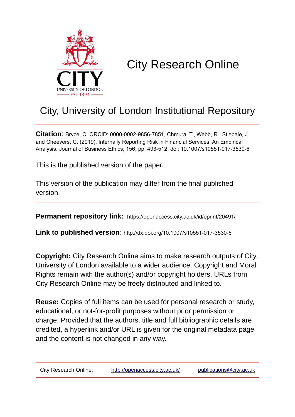

# City Research Online

# City, University of London Institutional Repository

**Citation**: Bryce, C. ORCID: 0000-0002-9856-7851, Chmura, T., Webb, R., Stiebale, J. and Cheevers, C. (2019). Internally Reporting Risk in Financial Services: An Empirical Analysis. Journal of Business Ethics, 156, pp. 493-512. doi: 10.1007/s10551-017-3530-6

This is the published version of the paper.

This version of the publication may differ from the final published version.

**Permanent repository link:** https://openaccess.city.ac.uk/id/eprint/20491/

**Link to published version**: http://dx.doi.org/10.1007/s10551-017-3530-6

**Copyright:** City Research Online aims to make research outputs of City, University of London available to a wider audience. Copyright and Moral Rights remain with the author(s) and/or copyright holders. URLs from City Research Online may be freely distributed and linked to.

**Reuse:** Copies of full items can be used for personal research or study, educational, or not-for-profit purposes without prior permission or charge. Provided that the authors, title and full bibliographic details are credited, a hyperlink and/or URL is given for the original metadata page and the content is not changed in any way.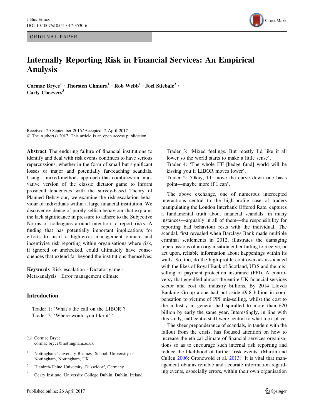ORIGINAL PAPER



# Internally Reporting Risk in Financial Services: An Empirical Analysis

Cormac Bryce<sup>1</sup> • Thorsten Chmura<sup>1</sup> • Rob Webb<sup>1</sup> • Joel Stiebale<sup>2</sup> • Carly Cheevers<sup>3</sup>

Received: 20 September 2016 / Accepted: 2 April 2017 © The Author(s) 2017. This article is an open access publication

Abstract The enduring failure of financial institutions to identify and deal with risk events continues to have serious repercussions, whether in the form of small but significant losses or major and potentially far-reaching scandals. Using a mixed-methods approach that combines an innovative version of the classic dictator game to inform prosocial tendencies with the survey-based Theory of Planned Behaviour, we examine the risk-escalation behaviour of individuals within a large financial institution. We discover evidence of purely selfish behaviour that explains the lack significance in pressure to adhere to the Subjective Norms of colleagues around intention to report risks. A finding that has potentially important implications for efforts to instil a high-error management climate and incentivise risk reporting within organisations where risk, if ignored or unchecked, could ultimately have consequences that extend far beyond the institutions themselves.

Keywords Risk escalation · Dictator game · Meta-analysis - Error management climate

# Introduction

Trader 1: 'What's the call on the LIBOR'? Trader 2: 'Where would you like it'?

 $\boxtimes$  Cormac Bryce cormac.bryce@nottingham.ac.uk

<sup>1</sup> Nottingham University Business School, University of Nottingham, Nottingham, UK

<sup>2</sup> Hienirch-Heine University, Dusseldorf, Germany

<sup>3</sup> Geary Institute, University College Dublin, Dublin, Ireland

Trader 3: 'Mixed feelings. But mostly I'd like it all lower so the world starts to make a little sense'.

Trader 4: 'The whole HF [hedge fund] world will be kissing you if LIBOR moves lower'.

Trader 2: 'Okay, I'll move the curve down one basis point—maybe more if I can'.

The above exchange, one of numerous intercepted interactions central to the high-profile case of traders manipulating the London Interbank Offered Rate, captures a fundamental truth about financial scandals: in many instances—arguably in all of them—the responsibility for reporting bad behaviour rests with the individual. The scandal, first revealed when Barclays Bank made multiple criminal settlements in 2012, illustrates the damaging repercussions of an organisation either failing to receive, or act upon, reliable information about happenings within its walls. So, too, do the high-profile controversies associated with the likes of Royal Bank of Scotland, UBS and the misselling of payment protection insurance (PPI). A controversy that engulfed almost the entire UK financial services sector and cost the industry billions. By 2014 Lloyds Banking Group alone had put aside £9.8 billion in compensation to victims of PPI mis-selling, whilst the cost to the industry in general had spiralled to more than £20 billion by early the same year. Interestingly, in line with this study, call centre staff were central to what took place.

The sheer preponderance of scandals, in tandem with the fallout from the crisis, has focused attention on how to increase the ethical climate of financial services organisations so as to encourage such internal risk reporting and reduce the likelihood of further 'risk events' (Martin and Cullen [2006](#page-19-0); Gronewold et al. [2013\)](#page-18-0). It is vital that management obtains reliable and accurate information regarding events, especially errors, within their own organisation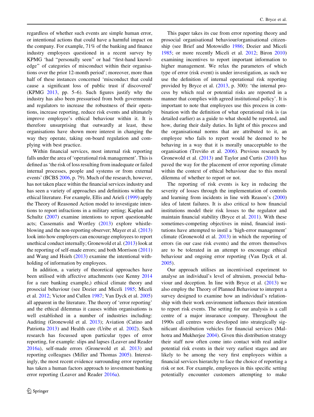regardless of whether such events are simple human error, or intentional actions that could have a harmful impact on the company. For example, 71% of the banking and finance industry employees questioned in a recent survey by KPMG 'had ''personally seen'' or had ''first-hand knowledge'' of categories of misconduct within their organisations over the prior 12-month period'; moreover, more than half of these instances concerned 'misconduct that could cause a significant loss of public trust if discovered' (KPMG [2013](#page-19-0), pp. 5–6). Such figures justify why the industry has also been pressurised from both governments and regulators to increase the robustness of their operations, increase reporting, reduce risk events and ultimately improve employee's ethical behaviour within it. It is therefore unsurprising that outwardly at least, these organisations have shown more interest in changing the way they operate, taking on-board regulation and complying with best practice.

Within financial services, most internal risk reporting falls under the area of 'operational risk management'. This is defined as 'the risk of loss resulting from inadequate or failed internal processes, people and systems or from external events' (BCBS [2006,](#page-18-0) p. 79). Much of the research, however, has not taken place within the financial services industry and has seen a variety of approaches and definitions within the ethical literature. For example, Ellis and Arieli [\(1999](#page-18-0)) apply the Theory of Reasoned Action model to investigate intentions to report infractions in a military setting; Kaplan and Schultz ([2007\)](#page-19-0) examine intentions to report questionable acts; Cassematis and Wortley ([2013\)](#page-18-0) explore whistleblowing and the non-reporting observer; Mayer et al. ([2013\)](#page-19-0) look into how employers can encourage employees to report unethical conduct internally; Gronewold et al. [\(2013](#page-18-0)) look at the reporting of self-made errors; and both Morrison ([2011\)](#page-19-0) and Wang and Hsieh [\(2013\)](#page-20-0) examine the intentional withholding of information by employees.

In addition, a variety of theoretical approaches have been utilised with affective attachments (see Kenny [2014](#page-19-0) for a rare banking example,) ethical climate theory and prosocial behaviour (see Dozier and Miceli [1985](#page-18-0); Miceli et al. [2012;](#page-19-0) Victor and Cullen [1987](#page-20-0); Van Dyck et al. [2005\)](#page-20-0) all apparent in the literature. The theory of 'error reporting' and the ethical dilemmas it causes within organisations is well established in a number of industries including: Auditing (Gronewold et al. [2013\)](#page-18-0); Aviation (Catino and Patriotta [2013\)](#page-18-0) and Health care (Uribe et al. [2002\)](#page-20-0). Such research has focussed upon particular types of error reporting, for example: slips and lapses (Leaver and Reader [2016a](#page-19-0)), self-made errors (Gronewold et al. [2013](#page-18-0)) and reporting colleagues (Miller and Thomas [2005\)](#page-19-0). Interestingly, the most recent evidence surrounding error reporting has taken a human factors approach to investment banking error reporting (Leaver and Reader [2016a](#page-19-0)).

This paper takes its cue from error reporting theory and prosocial organisational behaviour/organisational citizenship (see Brief and Motowidlo [1986](#page-18-0); Dozier and Miceli [1985](#page-18-0); or more recently Miceli et al. [2012](#page-19-0); Biron [2010\)](#page-18-0) examining incentives to report important information to higher management. We relax the parameters of which type of error (risk event) is under investigation, as such we use the definition of internal operational risk reporting provided by Bryce et al. [\(2013](#page-18-0), p. 300): 'the internal process by which real or potential risks are reported in a manner that complies with agreed institutional policy'. It is important to note that employees use this process in combination with the definition of what operational risk is (as detailed earlier) as a guide to what should be reported, and how, during their daily duties. In light of this process and the organisational norms that are attributed to it, an employee who fails to report would be deemed to be behaving in a way that it is morally unacceptable to the organisation (Treviño et al. [2006](#page-20-0)). Previous research by Gronewold et al. [\(2013](#page-18-0)) and Taylor and Curtis [\(2010](#page-20-0)) has paved the way for the placement of error reporting climate within the context of ethical behaviour due to this moral dilemma of whether to report or not.

The reporting of risk events is key in reducing the severity of losses through the implementation of controls and learning from incidents in line with Reason's ([2000\)](#page-20-0) idea of latent failures. It is also critical to how financial institutions model their risk losses to the regulator and maintain financial stability (Bryce et al. [2011](#page-18-0)). With these sometimes-competing objectives in mind, financial institutions have attempted to instil a 'high-error management' climate (Gronewold et al. [2013\)](#page-18-0) in which the reporting of errors (in our case risk events) and the errors themselves are to be tolerated in an attempt to encourage ethical behaviour and ongoing error reporting (Van Dyck et al. [2005](#page-20-0)).

Our approach utilises an incentivised experiment to analyse an individual's level of altruism, prosocial behaviour and deception. In line with Bryce et al. [\(2013](#page-18-0)) we also employ the Theory of Planned Behaviour to interpret a survey designed to examine how an individual's relationship with their work environment influences their intention to report risk events. The setting for our analysis is a call centre of a major insurance company. Throughout the 1990s call centres were developed into strategically significant distribution vehicles for financial services (Malhotra and Mukherjee [2004\)](#page-19-0). Given this distribution strategy their staff now often come into contact with real and/or potential risk events in their very earliest stages and are likely to be among the very first employees within a financial services hierarchy to face the choice of reporting a risk or not. For example, employees in this specific setting potentially encounter customers attempting to make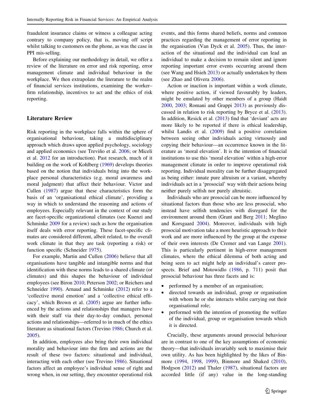fraudulent insurance claims or witness a colleague acting contrary to company policy, that is, moving off script whilst talking to customers on the phone, as was the case in PPI mis-selling.

Before explaining our methodology in detail, we offer a review of the literature on error and risk reporting, error management climate and individual behaviour in the workplace. We then extrapolate the literature to the realm of financial services institutions, examining the worker– firm relationship, incentives to act and the ethics of risk reporting.

# Literature Review

Risk reporting in the workplace falls within the sphere of organisational behaviour, taking a multidisciplinary approach which draws upon applied psychology, sociology and applied economics (see Treviño et al. [2006](#page-20-0); or Miceli et al. [2012](#page-19-0) for an introduction). Past research, much of it building on the work of Kohlberg [\(1969\)](#page-19-0) develops theories based on the notion that individuals bring into the workplace personal characteristics (e.g. moral awareness and moral judgment) that affect their behaviour. Victor and Cullen [\(1987](#page-20-0)) argue that these characteristics form the basis of an 'organisational ethical climate', providing a way in which to understand the reasoning and actions of employees. Especially relevant in the context of our study are facet-specific organizational climates (see Kuenzi and Schminke [2009](#page-19-0) for a review) such as how the organisation itself deals with error reporting. These facet-specific climates are considered different, albeit related, to the overall work climate in that they are task (reporting a risk) or function specific (Schneider [1975](#page-20-0)).

For example, Martin and Cullen [\(2006](#page-19-0)) believe that all organisations have tangible and intangible norms and that identification with these norms leads to a shared climate (or climates) and this shapes the behaviour of individual employees (see Biron [2010;](#page-18-0) Peterson [2002;](#page-19-0) or Reichers and Schneider [1990\)](#page-20-0). Arnaud and Schminke [\(2012](#page-18-0)) refer to a 'collective moral emotion' and a 'collective ethical efficacy', which Brown et al. ([2005\)](#page-18-0) argue are further influenced by the actions and relationships that managers have with their staff via their day-to-day conduct, personal actions and relationships—referred to in much of the ethics literature as situational factors (Trevino [1986](#page-20-0); Church et al. [2005\)](#page-18-0).

In addition, employees also bring their own individual morality and behaviour into the firm and actions are the result of these two factors: situational and individual, interacting with each other (see Trevino [1986\)](#page-20-0). Situational factors affect an employee's individual sense of right and wrong when, in our setting, they encounter operational risk events, and this forms shared beliefs, norms and common practices regarding the management of error reporting in the organisation (Van Dyck et al. [2005](#page-20-0)). Thus, the interaction of the situational and the individual can lead an individual to make a decision to remain silent and ignore reporting important error events occurring around them (see Wang and Hsieh [2013\)](#page-20-0) or actually undertaken by them (see Zhao and Olivera [2006\)](#page-20-0).

Action or inaction is important within a work climate, where positive action, if viewed favourably by leaders, might be emulated by other members of a group (Haidt [2000](#page-19-0), [2003](#page-19-0); Romani and Grappi [2013](#page-20-0)) as previously discussed in relation to risk reporting by Bryce et al. [\(2013](#page-18-0)). In addition, Resick et al. ([2013\)](#page-20-0) find that 'deviant' acts are more likely to be reported if there is ethical leadership, whilst Landis et al. ([2009\)](#page-19-0) find a positive correlation between seeing other individuals acting virtuously and copying their behaviour—an occurrence known in the literature as 'moral elevation'. It is the intention of financial institutions to use this 'moral elevation' within a high-error management climate in order to improve operational risk reporting. Individual morality can be further disaggregated as being either: innate pure altruism or a variant, whereby individuals act in a 'prosocial' way with their actions being neither purely selfish nor purely altruistic.

Individuals who are prosocial can be more influenced by situational factors than those who are less prosocial, who instead have selfish tendencies with disregard for the environment around them (Grant and Berg [2011](#page-18-0); Meglino and Korsgaard [2004\)](#page-19-0). Moreover, individuals with high prosocial motivation take a more heuristic approach to their work and are more influenced by the group at the expense of their own interests (De Cremer and van Lange [2001](#page-18-0)). This is particularly pertinent in high-error management climates, where the ethical dilemma of both acting and being seen to act might help an individual's career prospects. Brief and Motowidlo ([1986,](#page-18-0) p. 711) posit that prosocial behaviour has three facets and is:

- performed by a member of an organisation;
- directed towards an individual, group or organisation with whom he or she interacts whilst carrying out their organisational role;
- performed with the intention of promoting the welfare of the individual, group or organisation towards which it is directed.

Crucially, these arguments around prosocial behaviour are in contrast to one of the key assumptions of economic theory—that individuals invariably seek to maximise their own utility. As has been highlighted by the likes of Binmore [\(1994](#page-18-0), [1998,](#page-18-0) [1999](#page-18-0)), Binmore and Shaked [\(2010](#page-18-0)), Hodgson ([2012\)](#page-19-0) and Thaler ([1987\)](#page-20-0), situational factors are accorded little (if any) value in the long-standing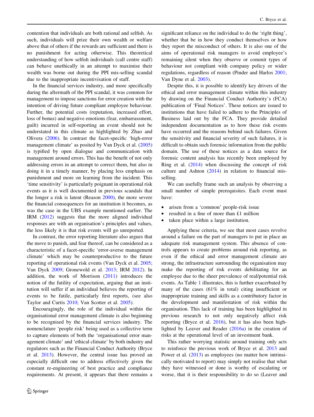contention that individuals are both rational and selfish. As such, individuals will prize their own wealth or welfare above that of others if the rewards are sufficient and there is no punishment for acting otherwise. This theoretical understanding of how selfish individuals (call centre staff) can behave unethically in an attempt to maximise their wealth was borne out during the PPI mis-selling scandal due to the inappropriate incentivisation of staff.

In the financial services industry, and more specifically during the aftermath of the PPI scandal, it was common for management to impose sanctions for error creation with the intention of driving future compliant employee behaviour. Further, the potential costs (reputation, increased effort, loss of bonus) and negative emotions (fear, embarrassment, guilt) incurred in self-reporting an event should not be understated in this climate as highlighted by Zhao and Olivera [\(2006](#page-20-0)). In contrast the facet-specific 'high-error management climate' as posited by Van Dyck et al. ([2005\)](#page-20-0) is typified by open dialogue and communication with management around errors. This has the benefit of not only addressing errors in an attempt to correct them, but also in doing it in a timely manner, by placing less emphasis on punishment and more on learning from the incident. This 'time sensitivity' is particularly poignant in operational risk events as it is well documented in previous scandals that the longer a risk is latent (Reason [2000](#page-20-0)), the more severe the financial consequences for an institution it becomes, as was the case in the UBS example mentioned earlier. The IRM [\(2012\)](#page-19-0) suggests that the more aligned individual responses are with an organisation's principles and values, the less likely it is that risk events will go unreported.

In contrast, the error reporting literature also argues that the move to punish, and fear thereof, can be considered as a characteristic of a facet-specific 'error-averse management climate' which may be counterproductive to the future reporting of operational risk events (Van Dyck et al. [2005](#page-20-0); Van Dyck [2009](#page-20-0); Gronewold et al. [2013](#page-18-0); IRM [2012\)](#page-19-0). In addition, the work of Morrison  $(2011)$  $(2011)$  introduces the notion of the futility of expectation, arguing that an institution will suffer if an individual believes the reporting of events to be futile, particularly first reports, (see also Taylor and Curtis [2010;](#page-20-0) Van Scotter et al. [2005](#page-20-0)).

Encouragingly, the role of the individual within the organisational error management climate is also beginning to be recognised by the financial services industry. The nomenclature 'people risk' being used as a collective term to capture elements of both the 'organisational error management climate' and 'ethical climate' by both industry and regulators such as the Financial Conduct Authority (Bryce et al. [2013](#page-18-0)). However, the central issue has proved an especially difficult one to address effectively given the constant re-engineering of best practice and compliance requirements. At present, it appears that there remains a significant reliance on the individual to do the 'right thing'. whether that be in how they conduct themselves or how they report the misconduct of others. It is also one of the aims of operational risk managers to avoid employee's remaining silent when they observe or commit types of behaviour not compliant with company policy or wider regulations, regardless of reason (Pinder and Harlos [2001](#page-20-0); Van Dyne et al. [2003\)](#page-20-0).

Despite this, it is possible to identify key drivers of the ethical and error management climate within this industry by drawing on the Financial Conduct Authority's (FCA) publication of 'Final Notices'. These notices are issued to institutions that have failed to adhere to the Principles of Business laid out by the FCA. They provide detailed independent documentation as to how these risk events have occurred and the reasons behind such failures. Given the sensitivity and financial severity of such failures, it is difficult to obtain such forensic information from the public domain. The use of these notices as a data source for forensic content analysis has recently been employed by Ring et al. ([2014\)](#page-20-0) when discussing the concept of risk culture and Ashton [\(2014](#page-18-0)) in relation to financial misselling.

We can usefully frame such an analysis by observing a small number of simple prerequisites. Each event must have:

- arisen from a 'common' people-risk issue
- resulted in a fine of more than  $£1$  million
- taken place within a large institution.

Applying these criteria, we see that most cases revolve around a failure on the part of managers to put in place an adequate risk management system. This absence of controls appears to create problems around risk reporting, as even if the ethical and error management climate are strong, the infrastructure surrounding the organisation may make the reporting of risk events debilitating for an employee due to the sheer prevalence of real/potential risk events. As Table [1](#page-5-0) illustrates, this is further exacerbated by many of the cases (61% in total) citing insufficient or inappropriate training and skills as a contributory factor in the development and manifestation of risk within the organisation. This lack of training has been highlighted in previous research to not only negatively affect risk reporting (Bryce et al. [2016\)](#page-18-0), but it has also been highlighted by Leaver and Reader [\(2016a](#page-19-0)) in the creation of risks at the operational level of an investment bank.

This rather worrying statistic around training only acts to reinforce the previous work of Bryce et al. [2013](#page-18-0) and Power et al. ([2013\)](#page-20-0) as employees (no matter how intrinsically motivated to report) may simply not realise that what they have witnessed or done is worthy of escalating or worse, that it is their responsibility to do so (Leaver and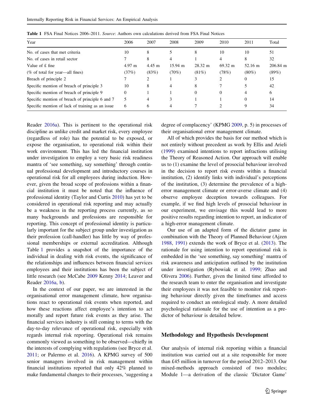| Year                                             | 2006             | 2007                 | 2008              | 2009              | 2010              | 2011              | Total              |
|--------------------------------------------------|------------------|----------------------|-------------------|-------------------|-------------------|-------------------|--------------------|
| No. of cases that met criteria                   | 10               | 8                    |                   | 8                 | 10                | 10                | 51                 |
| No. of cases in retail sector                    |                  | 8                    | 4                 |                   | 4                 | 8                 | 32                 |
| Value of £ fine                                  | $4.97 \text{ m}$ | $4.45 \; \mathrm{m}$ | $15.94 \text{ m}$ | $28.32 \text{ m}$ | $69.32 \text{ m}$ | $52.16 \text{ m}$ | $206.84 \text{ m}$ |
| (% of total for year—all fines)                  | (37%)            | (83%)                | (70%)             | $(81\%)$          | (78%)             | $(80\%)$          | (89%)              |
| Breach of principle 2                            |                  | $\mathcal{L}$        |                   | 3                 | $\mathfrak{D}$    | 0                 | 15                 |
| Specific mention of breach of principle 3        | 10               | 8                    | 4                 | 8                 |                   |                   | 42                 |
| Specific mention of breach of principle 9        | $\Omega$         |                      |                   | $\Omega$          | $\Omega$          | 4                 | 6                  |
| Specific mention of breach of principle 6 and 7  | 5                | 4                    |                   |                   |                   |                   | 14                 |
| Specific mention of lack of training as an issue | 6                | 6                    | 4                 |                   | $\mathfrak{D}$    | 9                 | 34                 |

<span id="page-5-0"></span>Table 1 FSA Final Notices 2006–2011. Source: Authors own calculations derived from FSA Final Notices

Reader [2016a\)](#page-19-0). This is pertinent to the operational risk discipline as unlike credit and market risk, every employee (regardless of role) has the potential to be exposed, or expose the organisation, to operational risk within their work environment. This has led the financial institution under investigation to employ a very basic risk readiness mantra of 'see something, say something' through continual professional development and introductory courses in operational risk for all employees during induction. However, given the broad scope of professions within a financial institution it must be noted that the influence of professional identity (Taylor and Curtis [2010](#page-20-0)) has yet to be considered in operational risk reporting and may actually be a weakness in the reporting process currently, as so many backgrounds and professions are responsible for reporting. This concept of professional identity is particularly important for the subject group under investigation as their profession (call-handler) has little by way of professional memberships or external accreditation. Although Table 1 provides a snapshot of the importance of the individual in dealing with risk events, the significance of the relationships and influences between financial services employees and their institutions has been the subject of little research (see McCabe [2009](#page-19-0) Kenny [2014;](#page-19-0) Leaver and Reader [2016a](#page-19-0), [b\)](#page-19-0).

In the context of our paper, we are interested in the organisational error management climate, how organisations react to operational risk events when reported, and how these reactions affect employee's intention to act morally and report future risk events as they arise. The financial services industry is still coming to terms with the day-to-day relevance of operational risk, especially with regards internal risk reporting. Operational risk remains commonly viewed as something to be observed—chiefly in the interests of complying with regulations (see Bryce et al. [2011;](#page-18-0) or Palermo et al. [2016](#page-19-0)). A KPMG survey of 500 senior managers involved in risk management within financial institutions reported that only 42% planned to make fundamental changes to their processes, 'suggesting a degree of complacency' (KPMG [2009](#page-19-0), p. 5) in processes of their organisational error management climate.

All of which provides the basis for our method which is not entirely without precedent as work by Ellis and Arieli [\(1999](#page-18-0)) examined intentions to report infractions utilising the Theory of Reasoned Action. Our approach will enable us to (1) examine the level of prosocial behaviour involved in the decision to report risk events within a financial institution, (2) identify links with individual's perceptions of the institution, (3) determine the prevalence of a higherror management climate or error-averse climate and (4) observe employee deception towards colleagues. For example, if we find high levels of prosocial behaviour in our experiment, we envisage this would lead to more positive results regarding intention to report, an indicator of a high-error management climate.

Our use of an adapted form of the dictator game in combination with the Theory of Planned Behaviour (Ajzen [1988](#page-18-0), [1991](#page-18-0)) extends the work of Bryce et al. [\(2013](#page-18-0)). The rationale for using intention to report operational risk is embedded in the 'see something, say something' mantra of risk awareness and anticipation outlined by the institution under investigation (Rybowiak et al. [1999;](#page-20-0) Zhao and Olivera [2006\)](#page-20-0). Further, given the limited time afforded to the research team to enter the organisation and investigate their employees it was not feasible to monitor risk reporting behaviour directly given the timeframes and access required to conduct an ontological study. A more detailed psychological rationale for the use of intention as a predictor of behaviour is detailed below.

#### Methodology and Hypothesis Development

Our analysis of internal risk reporting within a financial institution was carried out at a site responsible for more than £45 million in turnover for the period 2012–2013. Our mixed-methods approach consisted of two modules; Module 1—a derivation of the classic 'Dictator Game'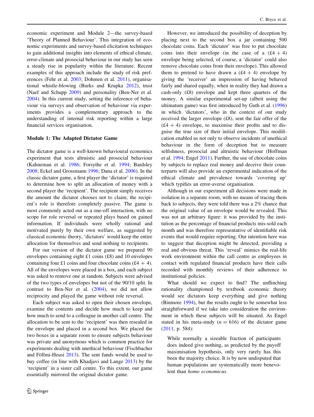economic experiment and Module 2—the survey-based 'Theory of Planned Behaviour'. This integration of economic experiments and survey-based elicitation techniques to gain additional insights into elements of ethical climate, error-climate and prosocial behaviour in our study has seen a steady rise in popularity within the literature. Recent examples of this approach include the study of risk preferences (Fehr et al. [2003;](#page-18-0) Dohmen et al. [2011\)](#page-18-0), organisational whistle-blowing (Burks and Krupka [2012\)](#page-18-0), trust (Naef and Schupp [2009\)](#page-19-0) and personality (Ben-Ner et al. [2004\)](#page-18-0). In this current study, setting the inference of behaviour via surveys and observation of behaviour via experiments provides a complementary approach to the understanding of internal risk reporting within a large financial services organisation.

#### Module 1: The Adapted Dictator Game

The dictator game is a well-known behavioural economics experiment that tests altruistic and prosocial behaviour (Kahneman et al. [1986](#page-19-0); Forsythe et al. [1994;](#page-18-0) Bardsley [2008;](#page-18-0) Eckel and Grossmann [1996;](#page-18-0) Dana et al. [2006\)](#page-18-0). In the classic dictator game, a first player the 'dictator' is required to determine how to split an allocation of money with a second player the 'recipient'. The recipient simply receives the amount the dictator chooses not to claim; the recipient's role is therefore completely passive. The game is most commonly acted out as a one-off interaction, with no scope for role reversal or repeated plays based on gained information. If individuals were wholly rational and motivated purely by their own welfare, as suggested by classical economic theory, 'dictators' would keep the entire allocation for themselves and send nothing to recipients.

For our version of the dictator game we prepared 90 envelopes containing eight £1 coins (£8) and 10 envelopes containing four £1 coins and four chocolate coins  $(£4 + 4)$ . All of the envelopes were placed in a box, and each subject was asked to remove one at random. Subjects were advised of the two types of envelopes but not of the 90/10 split. In contrast to Ben-Ner et al. ([2004\)](#page-18-0), we did not allow reciprocity and played the game without role reversal.

Each subject was asked to open their chosen envelope, examine the contents and decide how much to keep and how much to send to a colleague in another call centre. The allocation to be sent to the 'recipient' was then resealed in the envelope and placed in a second box. We placed the two boxes in a separate room to ensure subjects behaviour was private and anonymous which is common practice for experiments dealing with unethical behaviour (Fischbacher and Föllmi-Heusi  $2013$ ). The sent funds would be used to buy coffee (in line with Khadjavi and Lange [2013](#page-19-0)) by the 'recipient' in a sister call centre. To this extent, our game essentially mirrored the original dictator game.

However, we introduced the possibility of deception by placing next to the second box a jar containing 500 chocolate coins. Each 'dictator' was free to put chocolate coins into their envelope (in the case of a  $(f4 + 4)$ ) envelope being selected, of course, a 'dictator' could also remove chocolate coins from their envelope). This allowed them to pretend to have drawn a  $(f4 + 4)$  envelope by giving the 'receiver' an impression of having behaved fairly and shared equally, when in reality they had drawn a cash-only (£8) envelope and kept three quarters of the money. A similar experimental set-up (albeit using the ultimatum game) was first introduced by Guth et al. ([1996\)](#page-19-0) in which 'dictators', who in the context of our study received the larger envelope (£8), sent the fair offer of the  $(f4 + 4)$  envelope, to maximise their profits and to disguise the true size of their initial envelope. This modification enabled us not only to observe incidents of unethical behaviour in the form of deception but to measure selfishness, prosocial and altruistic behaviour (Hoffman et al. [1994;](#page-19-0) Engel [2011\)](#page-18-0). Further, the use of chocolate coins by subjects to replace real money and deceive their counterparts will also provide an experimental indication of the ethical climate and prevalence towards 'covering up' which typifies an error-averse organisation.

Although in our experiment all decisions were made in isolation in a separate room, with no means of tracing them back to subjects, they were told there was a 2% chance that the original value of an envelope would be revealed. This was not an arbitrary figure: it was provided by the institution as the percentage of financial products mis-sold each month and was therefore representative of identifiable risk events that would require reporting. Our intention here was to suggest that deception might be detected, providing a real and obvious threat. This 'reveal' mimics the real-life work environment within the call centre as employees in contact with regulated financial products have their calls recorded with monthly reviews of their adherence to institutional policies.

What should we expect to find? The unflinching rationality championed by textbook economic theory would see dictators keep everything and give nothing (Binmore [1994](#page-18-0)), but the results ought to be somewhat less straightforward if we take into consideration the environment in which these subjects will be situated. As Engel stated in his meta-study ( $n = 616$ ) of the dictator game [\(2011](#page-18-0), p. 584):

While normally a sizeable fraction of participants does indeed give nothing, as predicted by the payoff maximisation hypothesis, only very rarely has this been the majority choice. It is by now undisputed that human populations are systematically more benevolent than homo economicus.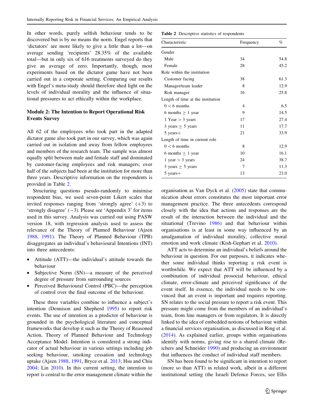In other words, purely selfish behaviour tends to be discovered but is by no means the norm. Engel reports that 'dictators' are more likely to give a little than a lot—on average sending 'recipients' 28.35% of the available total—but in only six of 616 treatments surveyed do they give an average of zero. Importantly, though, most experiments based on the dictator game have not been carried out in a corporate setting. Comparing our results with Engel's meta-study should therefore shed light on the levels of individual morality and the influence of situational pressures to act ethically within the workplace.

# Module 2: The Intention to Report Operational Risk Events Survey

All 62 of the employees who took part in the adapted dictator game also took part in our survey, which was again carried out in isolation and away from fellow employees and members of the research team. The sample was almost equally split between male and female staff and dominated by customer-facing employees and risk managers; over half of the subjects had been at the institution for more than three years. Descriptive information on the respondents is provided in Table 2.

Structuring questions pseudo-randomly to minimise respondent bias, we used seven-point Likert scales that invited responses ranging from 'strongly agree'  $(+3)$  to 'strongly disagree'  $(-3)$ . Please see 'Appendix 3' for items used in this survey. Analysis was carried out using PASW version 18, with regression analysis used to assess the relevance of the Theory of Planned Behaviour (Ajzen [1988,](#page-18-0) [1991\)](#page-18-0). The Theory of Planned Behaviour (TPB) disaggregates an individual's behavioural Intentions (INT) into three antecedents:

- Attitude (ATT)—the individual's attitude towards the behaviour
- Subjective Norm (SN)—a measure of the perceived degree of pressure from surrounding sources
- Perceived Behavioural Control (PBC)—the perception of control over the final outcome of the behaviour.

These three variables combine to influence a subject's intention (Dennison and Shepherd [1995\)](#page-18-0) to report risk events. The use of intention as a predictor of behaviour is grounded in the psychological literature and conceptual frameworks that develop it such as the Theory of Reasoned Action, Theory of Planned Behaviour and Technology Acceptance Model. Intention is considered a strong indicator of actual behaviour in various settings including job seeking behaviour, smoking cessation and technology uptake (Ajzen [1988](#page-18-0), [1991](#page-18-0), Bryce et al. [2013;](#page-18-0) Hsu and Chiu [2004;](#page-19-0) Lin [2010](#page-19-0)). In this current setting, the intention to report is central to the error management climate within the Table 2 Descriptive statistics of respondents

| Characteristic                    | Frequency | $\%$ |
|-----------------------------------|-----------|------|
| Gender                            |           |      |
| Male                              | 34        | 54.8 |
| Female                            | 28        | 45.2 |
| Role within the institution       |           |      |
| Customer facing                   | 38        | 61.3 |
| Manager/team leader               | 8         | 12.9 |
| Risk manager                      | 16        | 25.8 |
| Length of time at the institution |           |      |
| $0 < 6$ months                    | 4         | 6.5  |
| 6 months $\geq 1$ year            | 9         | 14.5 |
| 1 Year $>$ 3 years                | 17        | 27.4 |
| 3 years $\geq$ 5 years            | 11        | 17.7 |
| $5$ years +                       | 21        | 33.9 |
| Length of time in current role    |           |      |
| $0 < 6$ months                    | 8         | 12.9 |
| 6 months $\geq 1$ year            | 10        | 16.1 |
| 1 year $>$ 3 years                | 24        | 38.7 |
| 3 years $\geq$ 5 years            | 7         | 11.3 |
| $5$ years $+$                     | 13        | 21.0 |

organisation as Van Dyck et al. ([2005\)](#page-20-0) state that communication about errors constitutes the most important error management practice. The three antecedents correspond closely with the idea that actions and responses are the result of the interaction between the individual and the situational (Trevino [1986](#page-20-0)) and that behaviour within organisations is at least in some way influenced by an amalgamation of individual morality, collective moral emotion and work climate (Kish-Gephart et al. [2010\)](#page-19-0).

ATT acts to determine an individual's beliefs around the behaviour in question. For our purposes, it indicates whether some individual thinks reporting a risk event is worthwhile. We expect that ATT will be influenced by a combination of individual prosocial behaviour, ethical climate, error-climate and perceived significance of the event itself. In essence, the individual needs to be convinced that an event is important and requires reporting. SN relates to the social pressure to report a risk event. This pressure might come from the members of an individual's team, from line managers or from regulators. It is directly linked to the idea of embedded notions of behaviour within a financial services organisation, as discussed in Ring et al. [\(2014](#page-20-0)). As explained earlier, groups within organisations identify with norms, giving rise to a shared climate (Reichers and Schneider [1990\)](#page-20-0) and producing an environment that influences the conduct of individual staff members.

SN has been found to be significant in intention to report (more so than ATT) in related work, albeit in a different institutional setting (the Israeli Defence Forces, see Ellis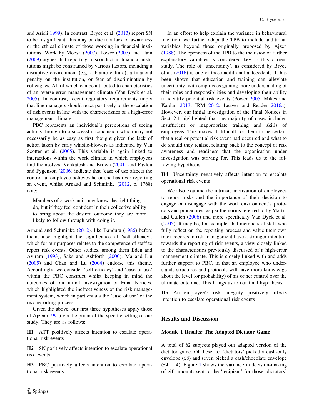and Arieli [1999](#page-18-0)). In contrast, Bryce et al. ([2013\)](#page-18-0) report SN to be insignificant, this may be due to a lack of awareness or the ethical climate of those working in financial institutions. Work by Moosa  $(2007)$  $(2007)$ , Power  $(2007)$  and Hain [\(2009](#page-19-0)) argues that reporting misconduct in financial institutions might be constrained by various factors, including a disruptive environment (e.g. a blame culture), a financial penalty on the institution, or fear of discrimination by colleagues. All of which can be attributed to characteristics of an averse-error management climate (Van Dyck et al. [2005\)](#page-20-0). In contrast, recent regulatory requirements imply that line managers should react positively to the escalation of risk events in line with the characteristics of a high-error management climate.

PBC represents an individual's perceptions of seeing actions through to a successful conclusion which may not necessarily be as easy as first thought given the lack of action taken by early whistle-blowers as indicated by Van Scotter et al. [\(2005](#page-20-0)). This variable is again linked to interactions within the work climate in which employees find themselves. Venkatesh and Brown [\(2001](#page-20-0)) and Pavlou and Fygenson [\(2006](#page-19-0)) indicate that 'ease of use affects the control an employee believes he or she has over reporting an event, whilst Arnaud and Schminke [\(2012](#page-18-0), p. 1768) note:

Members of a work unit may know the right thing to do, but if they feel confident in their collective ability to bring about the desired outcome they are more likely to follow through with doing it.

Arnaud and Schminke ([2012\)](#page-18-0), like Bandura ([1986\)](#page-18-0) before them, also highlight the significance of 'self-efficacy', which for our purposes relates to the competence of staff to report risk events. Other studies, among them Eden and Aviram ([1993\)](#page-18-0), Saks and Ashforth [\(2000](#page-20-0)), Ma and Liu [\(2005](#page-19-0)) and Chan and Lu [\(2004](#page-18-0)) endorse this theme. Accordingly, we consider 'self-efficacy' and 'ease of use' within the PBC construct whilst keeping in mind the outcomes of our initial investigation of Final Notices, which highlighted the ineffectiveness of the risk management system, which in part entails the 'ease of use' of the risk reporting process.

Given the above, our first three hypotheses apply those of Ajzen [\(1991](#page-18-0)) via the prism of the specific setting of our study. They are as follows:

H1 ATT positively affects intention to escalate operational risk events

H2 SN positively affects intention to escalate operational risk events

H3 PBC positively affects intention to escalate operational risk events

In an effort to help explain the variance in behavioural intention, we further adapt the TPB to include additional variables beyond those originally proposed by Ajzen [\(1988](#page-18-0)). The openness of the TPB to the inclusion of further explanatory variables is considered key to this current study. The role of 'uncertainty', as considered by Bryce et al. ([2016\)](#page-18-0) is one of these additional antecedents. It has been shown that education and training can alleviate uncertainty, with employees gaining more understanding of their roles and responsibilities and developing their ability to identify potential risk events (Power [2005;](#page-20-0) Mikes and Kaplan [2013](#page-19-0); IRM [2012](#page-19-0); Leaver and Reader [2016a](#page-19-0)). However, our initial investigation of the Final Notices in Sect. 2.1 highlighted that the majority of cases included insufficient or inappropriate training and skills of employees. This makes it difficult for them to be certain that a real or potential risk event had occurred and what to do should they realise, relating back to the concept of risk awareness and readiness that the organisation under investigation was striving for. This leads us to the following hypothesis:

H4 Uncertainty negatively affects intention to escalate operational risk events

We also examine the intrinsic motivation of employees to report risks and the importance of their decision to engage or disengage with the work environment's protocols and procedures, as per the norms referred to by Martin and Cullen [\(2006](#page-19-0)) and more specifically Van Dyck et al. [\(2005](#page-20-0)). It may be, for example, that members of staff who fully reflect on the reporting process and value their own track records in risk management have a stronger intention towards the reporting of risk events, a view closely linked to the characteristics previously discussed of a high-error management climate. This is closely linked with and adds further support to PBC, in that an employee who understands structures and protocols will have more knowledge about the level (or probability) of his or her control over the ultimate outcome. This brings us to our final hypothesis:

H5 An employee's risk integrity positively affects intention to escalate operational risk events

## Results and Discussion

#### Module 1 Results: The Adapted Dictator Game

A total of 62 subjects played our adapted version of the dictator game. Of these, 55 'dictators' picked a cash-only envelope (£8) and seven picked a cash/chocolate envelope  $(f4 + 4)$ . Figure [1](#page-9-0) shows the variance in decision-making of gift amounts sent to the 'recipient' for those 'dictators'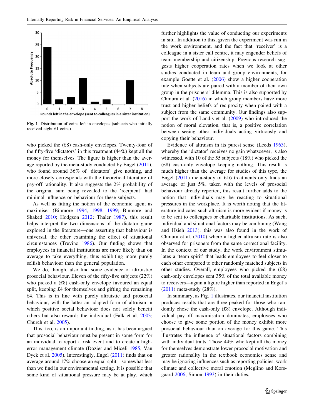<span id="page-9-0"></span>

Fig. 1 Distribution of coins left in envelopes (subjects who initially received eight £1 coins)

who picked the (£8) cash-only envelopes. Twenty-four of the fifty-five 'dictators' in this treatment (44%) kept all the money for themselves. The figure is higher than the average reported by the meta-study conducted by Engel [\(2011](#page-18-0)), who found around 36% of 'dictators' give nothing, and more closely corresponds with the theoretical literature of pay-off rationality. It also suggests the 2% probability of the original sum being revealed to the 'recipient' had minimal influence on behaviour for these subjects.

As well as fitting the notion of the economic agent as maximiser (Binmore [1994](#page-18-0), [1998](#page-18-0), [1999](#page-18-0); Binmore and Shaked [2010;](#page-18-0) Hodgson [2012;](#page-19-0) Thaler [1987\)](#page-20-0), this result helps interpret the two dimensions of the dictator game explored in the literature—one asserting that behaviour is universal, the other examining the effect of situational circumstances (Trevino [1986](#page-20-0)). Our finding shows that employees in financial institutions are more likely than on average to take everything, thus exhibiting more purely selfish behaviour than the general population.

We do, though, also find some evidence of altruistic/ prosocial behaviour. Eleven of the fifty-five subjects (22%) who picked a (£8) cash-only envelope favoured an equal split, keeping £4 for themselves and gifting the remaining £4. This is in line with purely altruistic and prosocial behaviour, with the latter an adapted form of altruism in which positive social behaviour does not solely benefit others but also rewards the individual (Falk et al. [2003](#page-18-0); Church et al. [2005](#page-18-0)).

This, too, is an important finding, as it has been argued that prosocial behaviour must be present in some form for an individual to report a risk event and to create a higherror management climate (Dozier and Miceli [1985](#page-18-0), Van Dyck et al. [2005](#page-20-0)). Interestingly, Engel ([2011\)](#page-18-0) finds that on average around 17% choose an equal split—somewhat less than we find in our environmental setting. It is possible that some kind of situational pressure may be at play, which further highlights the value of conducting our experiments in situ. In addition to this, given the experiment was run in the work environment, and the fact that 'receiver' is a colleague in a sister call centre, it may engender beliefs of team membership and citizenship. Previous research suggests higher cooperation rates when we look at other studies conducted in team and group environments, for example Goette et al. ([2006\)](#page-18-0) show a higher cooperation rate when subjects are paired with a member of their own group in the prisoners' dilemma. This is also supported by Chmura et al. ([2016\)](#page-18-0) in which group members have more trust and higher beliefs of reciprocity when paired with a subject from the same community. Our findings also support the work of Landis et al. [\(2009](#page-19-0)) who introduced the notion of moral elevation, that is, a positive correlation between seeing other individuals acting virtuously and copying their behaviour.

Evidence of altruism in its purest sense (Leeds [1963](#page-19-0)), whereby the 'dictator' receives no gain whatsoever, is also witnessed, with 10 of the 55 subjects (18%) who picked the (£8) cash-only envelope keeping nothing. This result is much higher than the average for studies of this type, the Engel ([2011\)](#page-18-0) meta-study of 616 treatments only finds an average of just 5%, taken with the levels of prosocial behaviour already reported, this result further adds to the notion that individuals may be reacting to situational pressures in the workplace. It is worth noting that the literature indicates such altruism is more evident if money is to be sent to colleagues or charitable institutions. As such, individual and situational factors may be combining (Wang and Hsieh [2013](#page-20-0)), this was also found in the work of Chmura et al. ([2010\)](#page-18-0) where a higher altruism rate is also observed for prisoners from the same correctional facility. In the context of our study, the work environment stimulates a 'team spirit' that leads employees to feel closer to each other compared to other randomly matched subjects in other studies. Overall, employees who picked the (£8) cash-only envelopes sent 35% of the total available money to receivers—again a figure higher than reported in Engel's [\(2011](#page-18-0)) meta-study (28%).

In summary, as Fig. 1 illustrates, our financial institution produces results that are three-peaked for those who randomly chose the cash-only (£8) envelope. Although individual pay-off maximisation dominates, employees who choose to give some portion of the money exhibit more prosocial behaviour than on average for this game. This illustrates the influence of situational factors combining with individual traits. Those 44% who kept all the money for themselves demonstrate lower prosocial motivation and greater rationality in the textbook economics sense and may be ignoring influences such as reporting policies, work climate and collective moral emotion (Meglino and Korsgaard [2006;](#page-19-0) Simon [1993](#page-20-0)) in their duties.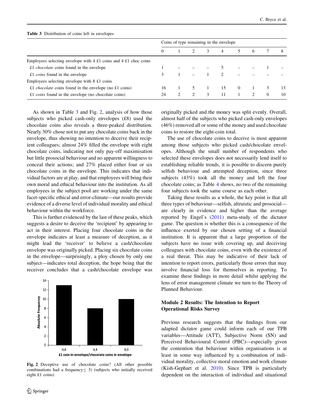|                                                                                                    | Coins of type remaining in the envelope |  |  |    |    |          |   |          |    |  |  |
|----------------------------------------------------------------------------------------------------|-----------------------------------------|--|--|----|----|----------|---|----------|----|--|--|
|                                                                                                    |                                         |  |  | 3  | 4  |          | 6 |          | x  |  |  |
| Employees selecting envelope with $4 \text{ } \pounds1$ coins and $4 \text{ } \pounds1$ choc coins |                                         |  |  |    |    |          |   |          |    |  |  |
| £1 <i>chocolate</i> coins found in the envelope                                                    |                                         |  |  |    |    |          |   |          |    |  |  |
| £1 <i>coins</i> found in the envelope                                                              |                                         |  |  |    |    |          |   |          |    |  |  |
| Employees selecting envelope with $8 \text{ } £1 \text{ coins}$                                    |                                         |  |  |    |    |          |   |          |    |  |  |
| £1 <i>chocolate</i> coins found in the envelope (no £1 coins)                                      | 16                                      |  |  |    | 15 | $\Omega$ |   |          | 13 |  |  |
| £1 <i>coins</i> found in the envelope (no chocolate coins)                                         | 24                                      |  |  | 3. | 11 |          |   | $\theta$ | 10 |  |  |

Table 3 Distribution of coins left in envelopes

As shown in Table 3 and Fig. 2, analysis of how those subjects who picked cash-only envelopes (£8) used the chocolate coins also reveals a three-peaked distribution. Nearly 30% chose not to put any chocolate coins back in the envelope, thus showing no intention to deceive their recipient colleagues; almost 24% filled the envelope with eight chocolate coins, indicating not only pay-off maximisation but little prosocial behaviour and no apparent willingness to conceal their actions; and 27% placed either four or six chocolate coins in the envelope. This indicates that individual factors are at play, and that employees will bring their own moral and ethical behaviour into the institution. As all employees in the subject pool are working under the same facet-specific ethical and error-climate—our results provide evidence of a diverse level of individual morality and ethical behaviour within the workforce.

This is further evidenced by the last of these peaks, which suggests a desire to deceive the 'recipient' by appearing to act in their interest. Placing four chocolate coins in the envelope indicates at least a measure of deception, as it might lead the 'receiver' to believe a cash/chocolate envelope was originally picked. Placing six chocolate coins in the envelope—surprisingly, a ploy chosen by only one subject—indicates total deception, the hope being that the receiver concludes that a cash/chocolate envelope was



Fig. 2 Deceptive use of chocolate coins? (All other possible combinations had a frequency  $\leq$  3) (subjects who initially received eight £1 coins)

originally picked and the money was split evenly. Overall, almost half of the subjects who picked cash-only envelopes (46%) removed all or some of the money and used chocolate coins to restore the eight-coin total.

The use of chocolate coins to deceive is most apparent among those subjects who picked cash/chocolate envelopes. Although the small number of respondents who selected these envelopes does not necessarily lend itself to establishing reliable trends, it is possible to discern purely selfish behaviour and attempted deception, since three subjects (43%) took all the money and left the four chocolate coins; as Table [4](#page-11-0) shows, no two of the remaining four subjects took the same course as each other.

Taking these results as a whole, the key point is that all three types of behaviour—selfish, altruistic and prosocial are clearly in evidence and higher than the average reported by Engel's [\(2011](#page-18-0)) meta-study of the dictator game. The question is whether this is a consequence of the influence exerted by our chosen setting of a financial institution. It is apparent that a large proportion of the subjects have no issue with covering up, and deceiving colleagues with chocolate coins, even with the existence of a real threat. This may be indicative of their lack of intention to report errors, particularly those errors that may involve financial loss for themselves in reporting. To examine these findings in more detail whilst applying the lens of error management climate we turn to the Theory of Planned Behaviour.

# Module 2 Results: The Intention to Report Operational Risks Survey

Previous research suggests that the findings from our adapted dictator game could inform each of our TPB variables—Attitude (ATT), Subjective Norm (SN) and Perceived Behavioural Control (PBC)—especially given the contention that behaviour within organisations is at least in some way influenced by a combination of individual morality, collective moral emotion and work climate (Kish-Gephart et al. [2010\)](#page-19-0). Since TPB is particularly dependent on the interaction of individual and situational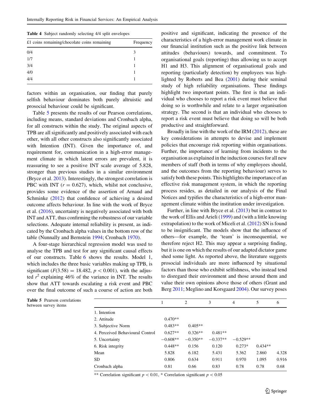<span id="page-11-0"></span>Table 4 Subject randomly selecting 4/4 split envelopes

| £1 coins remaining/chocolate coins remaining | Frequency |
|----------------------------------------------|-----------|
| 0/4                                          | 3         |
| 1/7                                          |           |
| 3/4                                          |           |
| 4/0                                          |           |
| 4/4                                          |           |

factors within an organisation, our finding that purely selfish behaviour dominates both purely altruistic and prosocial behaviour could be significant.

Table 5 presents the results of our Pearson correlations, including means, standard deviations and Cronbach alpha, for all constructs within the study. The original aspects of TPB are all significantly and positively associated with each other, with all other constructs also significantly associated with Intention (INT). Given the importance of, and requirement for, communication in a high-error management climate in which latent errors are prevalent, it is reassuring to see a positive INT scale average of 5.828, stronger than previous studies in a similar environment (Bryce et al. [2013](#page-18-0)). Interestingly, the strongest correlation is PBC with INT  $(r = 0.627)$ , which, whilst not conclusive, provides some evidence of the assertion of Arnaud and Schminke [\(2012\)](#page-18-0) that confidence of achieving a desired outcome affects behaviour. In line with the work of Bryce et al. ([2016\)](#page-18-0), uncertainty is negatively associated with both INT and ATT, thus confirming the robustness of our variable selections. Adequate internal reliability is present, as indicated by the Cronbach alpha values in the bottom row of the table (Nunnally and Bernstein [1994;](#page-19-0) Cronbach [1970\)](#page-18-0).

A four-stage hierarchical regression model was used to analyse the TPB and test for any significant causal effects of our constructs. Table [6](#page-12-0) shows the results. Model 1, which includes the three basic variables making up TPB, is significant ( $F(3.58) = 18.482, p < 0.001$ ), with the adjusted  $r^2$  explaining 46% of the variance in INT. The results show that ATT towards escalating a risk event and PBC over the final outcome of such a course of action are both positive and significant, indicating the presence of the characteristics of a high-error management work climate in our financial institution such as the positive link between attitudes (behaviours) towards, and commitment. To organisational goals (reporting) thus allowing us to accept H1 and H3. This alignment of organisational goals and reporting (particularly detection) by employees was highlighted by Roberts and Bea [\(2001](#page-20-0)) during their seminal study of high reliability organisations. These findings highlight two important points. The first is that an individual who chooses to report a risk event must believe that doing so is worthwhile and relate to a larger organisation strategy. The second is that an individual who chooses to report a risk event must believe that doing so will be both productive and straightforward.

Broadly in line with the work of the IRM [\(2012\)](#page-19-0), these are key considerations in attempts to devise and implement policies that encourage risk reporting within organisations. Further, the importance of learning from incidents to the organisation as explained in the induction courses for all new members of staff (both in terms of why employees should, and the outcomes from the reporting behaviour) serves to satisfy both these points. This highlights the importance of an effective risk management system, in which the reporting process resides, as detailed in our analysis of the Final Notices and typifies the characteristics of a high-error management climate within the institution under investigation.

Further, in line with Bryce et al. [\(2013](#page-18-0)) but in contrast to the work of Ellis and Arieli [\(1999](#page-18-0)) and (with a little knowing extrapolation) to the work of Miceli et al. ([2012\)](#page-19-0) SN is found to be insignificant. The models show that the influence of others—for example, the 'team' is inconsequential, we therefore reject H2. This may appear a surprising finding, but it is one on which the results of our adapted dictator game shed some light. As reported above, the literature suggests prosocial individuals are more influenced by situational factors than those who exhibit selfishness, who instead tend to disregard their environment and those around them and value their own opinions above those of others (Grant and Berg [2011;](#page-18-0) Meglino and Korsgaard [2004](#page-19-0)). Our survey poses

Table 5 Pearson correlations

| <b>Table</b> $\sigma$ Tearson conclusions<br>between survey items |                                  |            | $\overline{c}$ | 3          | 4          |           | 6     |
|-------------------------------------------------------------------|----------------------------------|------------|----------------|------------|------------|-----------|-------|
|                                                                   | 1. Intention                     |            |                |            |            |           |       |
|                                                                   | 2. Attitude                      | $0.470**$  |                |            |            |           |       |
|                                                                   | 3. Subjective Norm               | $0.483**$  | $0.405**$      |            |            |           |       |
|                                                                   | 4. Perceived Behavioural Control | $0.627**$  | $0.326**$      | $0.481**$  |            |           |       |
|                                                                   | 5. Uncertainty                   | $-0.608**$ | $-0.350**$     | $-0.337**$ | $-0.529**$ |           |       |
|                                                                   | 6. Risk integrity                | $0.448**$  | 0.156          | 0.120      | $0.273*$   | $0.434**$ |       |
|                                                                   | Mean                             | 5.828      | 6.182          | 5.431      | 5.362      | 2.860     | 4.328 |
|                                                                   | SD                               | 0.806      | 0.634          | 0.911      | 0.970      | 1.095     | 0.916 |
|                                                                   | Cronbach alpha                   | 0.81       | 0.66           | 0.83       | 0.78       | 0.78      | 0.68  |
|                                                                   |                                  |            |                |            |            |           |       |

\*\* Correlation significant  $p \lt 0.01$ , \* Correlation significant  $p \lt 0.05$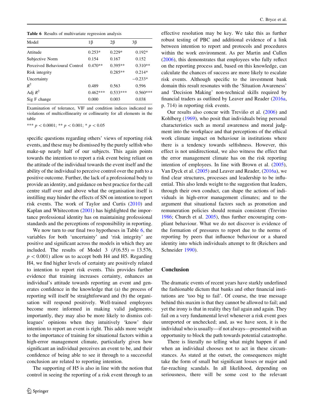<span id="page-12-0"></span>Table 6 Results of multivariate regression analysis

| Model                         | 1β         | $2\beta$   | $3\beta$   |
|-------------------------------|------------|------------|------------|
| Attitude                      | $0.253*$   | $0.229*$   | $0.192*$   |
| Subjective Norm               | 0.154      | 0.167      | 0.152      |
| Perceived Behavioural Control | $0.470**$  | $0.395**$  | $0.310**$  |
| Risk integrity                |            | $0.285**$  | $0.214*$   |
| Uncertainty                   |            |            | $-0.233*$  |
| $R^2$                         | 0.489      | 0.563      | 0.596      |
| Adj $R^2$                     | $0.462***$ | $0.533***$ | $0.560***$ |
| Sig F change                  | 0.000      | 0.003      | 0.038      |

Examination of tolerance, VIF and condition indices indicated no violations of multicollinearity or collinearity for all elements in the table

\*\*\*  $p < 0.0001$ ; \*\*  $p < 0.001$ ; \*  $p < 0.05$ 

specific questions regarding others' views of reporting risk events, and these may be dismissed by the purely selfish who make-up nearly half of our subjects. This again points towards the intention to report a risk event being reliant on the attitude of the individual towards the event itself and the ability of the individual to perceive control over the path to a positive outcome. Further, the lack of a professional body to provide an identity, and guidance on best practice for the call centre staff over and above what the organisation itself is instilling may hinder the effects of SN on intention to report risk events. The work of Taylor and Curtis ([2010](#page-20-0)) and Kaplan and Whitecotton ([2001\)](#page-19-0) has highlighted the importance professional identity has on maintaining professional standards and the perceptions of responsibility in reporting.

We now turn to our final two hypotheses in Table 6, the variables for both 'uncertainty' and 'risk integrity' are positive and significant across the models in which they are included. The results of Model 3  $(F(6.55) = 13.576)$ ,  $p<0.001$ ) allow us to accept both H4 and H5. Regarding H4, we find higher levels of certainty are positively related to intention to report risk events. This provides further evidence that training increases certainty, enhances an individual's attitude towards reporting an event and generates confidence in the knowledge that (a) the process of reporting will itself be straightforward and (b) the organisation will respond positively. Well-trained employees become more informed in making valid judgments; importantly, they may also be more likely to dismiss colleagues' opinions when they intuitively 'know' their intention to report an event is right. This adds more weight to the importance of training for situational factors within a high-error management climate, particularly given how significant an individual perceives an event to be, and their confidence of being able to see it through to a successful conclusion are related to reporting intention.

The supporting of H5 is also in line with the notion that control in seeing the reporting of a risk event through to an effective resolution may be key. We take this as further robust testing of PBC and additional evidence of a link between intention to report and protocols and procedures within the work environment. As per Martin and Cullen [\(2006](#page-19-0)), this demonstrates that employees who fully reflect on the reporting process and, based on this knowledge, can calculate the chances of success are more likely to escalate risk events. Although specific to the investment bank domain this result resonates with the 'Situation Awareness' and 'Decision Making' non-technical skills required by financial traders as outlined by Leaver and Reader [\(2016a,](#page-19-0) p. 714) in reporting risk events.

Our results also concur with Treviño et al. ([2006\)](#page-20-0) and Kohlberg [\(1969](#page-19-0)), who posit that individuals bring personal characteristics such as moral awareness and moral judgment into the workplace and that perceptions of the ethical work climate impact on behaviour in institutions where there is a tendency towards selfishness. However, this effect is not unidirectional, we also witness the effect that the error management climate has on the risk reporting intention of employees. In line with Brown et al. [\(2005](#page-18-0)), Van Dyck et al. [\(2005](#page-20-0)) and Leaver and Reader, [\(2016a](#page-19-0)), we find clear structures, processes and leadership to be influential. This also lends weight to the suggestion that leaders, through their own conduct, can shape the actions of individuals in high-error management climates; and to the argument that situational factors such as promotion and remuneration policies should remain consistent (Trevino [1986](#page-20-0); Church et al. [2005\)](#page-18-0), thus further encouraging compliant behaviour. What we do not discover is evidence of the formation of pressures to report due to the norms of reporting by peers that influence behaviour or a shared identity into which individuals attempt to fit (Reichers and Schneider [1990](#page-20-0)).

#### Conclusion

The dramatic events of recent years have starkly underlined the fashionable dictum that banks and other financial institutions are 'too big to fail'. Of course, the true message behind this maxim is that they cannot be allowed to fail; and yet the irony is that in reality they fail again and again. They fail on a very fundamental level whenever a risk event goes unreported or unchecked; and, as we have seen, it is the individual who is usually—if not always—presented with an opportunity to block the path towards potential catastrophe.

There is literally no telling what might happen if and when an individual chooses not to act in these circumstances. As stated at the outset, the consequences might take the form of small but significant losses or major and far-reaching scandals. In all likelihood, depending on seriousness, there will be some cost to the relevant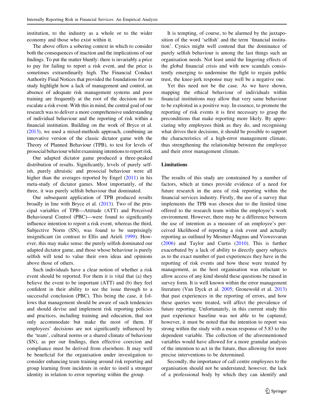institution, to the industry as a whole or to the wider economy and those who exist within it.

The above offers a sobering context in which to consider both the consequences of inaction and the implications of our findings. To put the matter bluntly: there is invariably a price to pay for failing to report a risk event, and the price is sometimes extraordinarily high. The Financial Conduct Authority Final Notices that provided the foundations for our study highlight how a lack of management and control, an absence of adequate risk management systems and poor training are frequently at the root of the decision not to escalate a risk event. With this in mind, the central goal of our research was to deliver a more comprehensive understanding of individual behaviour and the reporting of risk within a financial institution. Building on the work of Bryce et al. [\(2013\)](#page-18-0), we used a mixed-methods approach, combining an innovative version of the classic dictator game with the Theory of Planned Behaviour (TPB), to test for levels of prosocial behaviour whilst examining intentions to report risk.

Our adapted dictator game produced a three-peaked distribution of results. Significantly, levels of purely selfish, purely altruistic and prosocial behaviour were all higher than the averages reported by Engel ([2011\)](#page-18-0) in his meta-study of dictator games. Most importantly, of the three, it was purely selfish behaviour that dominated.

Our subsequent application of TPB produced results broadly in line with Bryce et al.  $(2013)$  $(2013)$ . Two of the principal variables of TPB—Attitude (ATT) and Perceived Behavioural Control (PBC)—were found to significantly influence intention to report a risk event, whereas the third, Subjective Norm (SN), was found to be surprisingly insignificant (in contrast to Ellis and Arieli [1999](#page-18-0)). However, this may make sense: the purely selfish dominated our adapted dictator game, and those whose behaviour is purely selfish will tend to value their own ideas and opinions above those of others.

Such individuals have a clear notion of whether a risk event should be reported. For them it is vital that (a) they believe the event to be important (ATT) and (b) they feel confident in their ability to see the issue through to a successful conclusion (PBC). This being the case, it follows that management should be aware of such tendencies and should devise and implement risk reporting policies and practices, including training and education, that not only accommodate but make the most of them. If employees' decisions are not significantly influenced by the 'team', cultural norms or a shared climate of behaviour (SN), as per our findings, then effective coercion and compliance must be derived from elsewhere. It may well be beneficial for the organisation under investigation to consider enhancing team training around risk reporting and group learning from incidents in order to instil a stronger identity in relation to error reporting within the group.

It is tempting, of course, to be alarmed by the juxtaposition of the word 'selfish' and the term 'financial institution'. Cynics might well contend that the dominance of purely selfish behaviour is among the last things such an organisation needs. Not least amid the lingering effects of the global financial crisis and with new scandals consistently emerging to undermine the fight to regain public trust, the knee-jerk response may well be a negative one.

Yet this need not be the case. As we have shown, mapping the ethical behaviour of individuals within financial institutions may allow that very same behaviour to be exploited in a positive way. In essence, to promote the reporting of risk events it is first necessary to grasp the preconditions that make reporting more likely. By appreciating why employees think as they do, and recognising what drives their decisions, it should be possible to support the characteristics of a high-error management climate, thus strengthening the relationship between the employee and their error management climate.

# Limitations

The results of this study are constrained by a number of factors, which at times provide evidence of a need for future research in the area of risk reporting within the financial services industry. Firstly, the use of a survey that implements the TPB was chosen due to the limited time offered to the research team within the employee's work environment. However, there may be a difference between the use of intention as a measure of an employee's perceived likelihood of reporting a risk event and actually reporting as outlined by Mesmer-Magnus and Viswesvaran [\(2006](#page-19-0)) and Taylor and Curtis ([2010\)](#page-20-0). This is further exacerbated by a lack of ability to directly query subjects as to the exact number of past experiences they have in the reporting of risk events and how these were treated by management, as the host organisation was reluctant to allow access of any kind should these questions be raised in survey form. It is well known within the error management literature (Van Dyck et al. [2005;](#page-20-0) Gronewold et al. [2013\)](#page-18-0) that past experiences in the reporting of errors, and how these queries were treated, will affect the prevalence of future reporting. Unfortunately, in this current study this past experience baseline was not able to be captured; however, it must be noted that the intention to report was strong within the study with a mean response of 5.83 to the dependent variable. The collection of the aforementioned variables would have allowed for a more granular analysis of the intention to act in the future, thus allowing for more precise interventions to be determined.

Secondly, the importance of call centre employees to the organisation should not be understated; however, the lack of a professional body by which they can identify and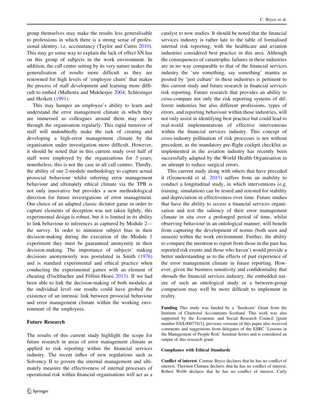group themselves may make the results less generalisable to professions in which there is a strong sense of professional identity, i.e. accountancy (Taylor and Curtis [2010](#page-20-0)). This may go some way to explain the lack of effect SN has on this group of subjects in the work environment. In addition, the call centre setting by its very nature makes the generalisation of results more difficult as they are renowned for high levels of 'employee churn' that makes the process of staff development and learning more difficult to embed (Malhotra and Mukherjee [2004;](#page-19-0) Schlesinger and Heskett ([1991\)](#page-20-0).

This may hamper an employee's ability to learn and understand the error management climate in which they are immersed as colleagues around them may move through the organisation regularly. This rapid turnover of staff will undoubtedly make the task of creating and developing a high-error management climate by the organisation under investigation more difficult. However, it should be noted that in this current study over half of staff were employed by the organisations for 3 years; nonetheless, this is not the case in all call centres. Thirdly, the ability of our 2-module methodology to capture actual prosocial behaviour whilst inferring error management behaviour and ultimately ethical climate via the TPB is not only innovative but provides a new methodological direction for future investigations of error management. Our choice of an adapted classic dictator game in order to capture elements of deception was not taken lightly, this experimental design is robust, but it is limited in its ability to link behaviour to inferences as captured by Module 2 the survey. In order to minimise subject bias in their decision-making during the execution of the Module 1 experiment they must be guaranteed anonymity in their decision-making. The importance of subjects' making decisions anonymously was postulated in Smith ([1976\)](#page-20-0) and is standard experimental and ethical practice when conducting the experimental games with an element of cheating (Fischbacher and Föllmi-Heusi [2013](#page-18-0)). If we had been able to link the decision-making of both modules at the individual level our results could have probed the existence of an intrinsic link between prosocial behaviour and error management climate within the working environment of the employees.

#### Future Research

The results of this current study highlight the scope for future research in areas of error management climate as applied to risk reporting within the financial services industry. The recent influx of new regulations such as Solvency II to govern the internal management and ultimately measure the effectiveness of internal processes of operational risk within financial organisations will act as a catalyst to new studies. It should be noted that the financial services industry is rather late to the table of formalised internal risk reporting, with the healthcare and aviation industries considered best practice in this area. Although the consequences of catastrophic failures in these industries are in no way comparable to that of the financial services industry the 'see something, say something' mantra as posited by 'just culture' in these industries is pertinent to this current study and future research in financial services risk reporting. Future research that provides an ability to cross-compare not only the risk reporting systems of different industries but also different professions, types of errors, and reporting behaviour within those industries, will not only assist in identifying best practice but could lead to real-world implementations of effective interventions within the financial services industry. This concept of cross-industry pollination of risk processes is not without precedent, as the mandatory pre-flight cockpit checklist as implemented in the aviation industry has recently been successfully adapted by the World Health Organisation in an attempt to reduce surgical errors.

This current study along with others that have preceded it (Gronewold et al. [2013\)](#page-18-0) suffers from an inability to conduct a longitudinal study, in which interventions (e.g. training, simulation) can be tested and retested for stability and depreciation in effectiveness over time. Future studies that have the ability to access a financial services organisation and test the saliency of their error management climate in situ over a prolonged period of time, whilst observing behaviour in an ontological manner, will benefit from capturing the development of norms (both seen and unseen) within the work environment. Further, the ability to compare the intention to report from those in the past has reported risk events and those who haven't would provide a better understanding as to the effects of past experience of the error management climate in future reporting. However, given the business sensitivity and confidentiality that shrouds the financial services industry, the embedded nature of such an ontological study or a between-group comparison may well be more difficult to implement in reality.

Funding This study was funded by a 'Seedcorn' Grant from the Institute of Chartered Accountants Scotland. This work was also supported by the Economic and Social Research Council [grant number ES/L000776/1], previous versions of this paper also received comments and suggestions from delegates of the ESRC 'Lessons in the Management of People Risk' Seminar Series and is considered an output of this research grant.

#### Compliance with Ethical Standards

Conflict of interest Cormac Bryce declares that he has no conflict of interest, Thorsten Chmura declares that he has no conflict of interest, Robert Webb declares that he has no conflict of interest, Carly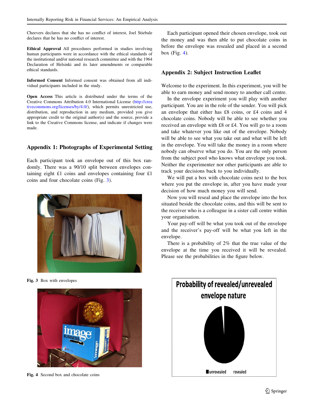Cheevers declares that she has no conflict of interest, Joel Stiebale declares that he has no conflict of interest.

Ethical Approval All procedures performed in studies involving human participants were in accordance with the ethical standards of the institutional and/or national research committee and with the 1964 Declaration of Helsinki and its later amendments or comparable ethical standards.

Informed Consent Informed consent was obtained from all individual participants included in the study.

Open Access This article is distributed under the terms of the Creative Commons Attribution 4.0 International License ([http://crea](http://creativecommons.org/licenses/by/4.0/) [tivecommons.org/licenses/by/4.0/\)](http://creativecommons.org/licenses/by/4.0/), which permits unrestricted use, distribution, and reproduction in any medium, provided you give appropriate credit to the original author(s) and the source, provide a link to the Creative Commons license, and indicate if changes were made.

# Appendix 1: Photographs of Experimental Setting

Each participant took an envelope out of this box randomly. There was a 90/10 split between envelopes containing eight £1 coins and envelopes containing four £1 coins and four chocolate coins (Fig. 3).



Fig. 3 Box with envelopes



Fig. 4 Second box and chocolate coins

Each participant opened their chosen envelope, took out the money and was then able to put chocolate coins in before the envelope was resealed and placed in a second box  $(Fig. 4)$ .

# Appendix 2: Subject Instruction Leaflet

Welcome to the experiment. In this experiment, you will be able to earn money and send money to another call centre.

In the envelope experiment you will play with another participant. You are in the role of the sender. You will pick an envelope that either has £8 coins, or £4 coins and 4 chocolate coins. Nobody will be able to see whether you received an envelope with £8 or £4. You will go to a room and take whatever you like out of the envelope. Nobody will be able to see what you take out and what will be left in the envelope. You will take the money in a room where nobody can observe what you do. You are the only person from the subject pool who knows what envelope you took. Neither the experimenter nor other participants are able to track your decisions back to you individually.

We will put a box with chocolate coins next to the box where you put the envelope in, after you have made your decision of how much money you will send.

Now you will reseal and place the envelope into the box situated beside the chocolate coins, and this will be sent to the receiver who is a colleague in a sister call centre within your organisation.

Your pay-off will be what you took out of the envelope and the receiver's pay-off will be what you left in the envelope.

There is a probability of 2% that the true value of the envelope at the time you received it will be revealed. Please see the probabilities in the figure below.

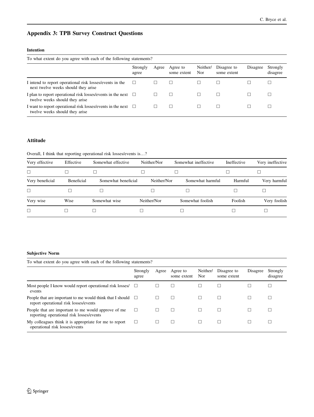# Appendix 3: TPB Survey Construct Questions

## Intention

# To what extent do you agree with each of the following statements?

| To what extent as you agree what each of the following statements.                                      |                   |       |                         |                 |                            |          |                      |  |  |  |  |
|---------------------------------------------------------------------------------------------------------|-------------------|-------|-------------------------|-----------------|----------------------------|----------|----------------------|--|--|--|--|
|                                                                                                         | Strongly<br>agree | Agree | Agree to<br>some extent | Neither/<br>Nor | Disagree to<br>some extent | Disagree | Strongly<br>disagree |  |  |  |  |
| I intend to report operational risk losses/events in the<br>next twelve weeks should they arise         |                   |       |                         |                 |                            |          |                      |  |  |  |  |
| I plan to report operational risk losses/events in the next $\square$<br>twelve weeks should they arise |                   |       |                         |                 |                            |          |                      |  |  |  |  |
| I want to report operational risk losses/events in the next $\square$<br>twelve weeks should they arise |                   |       |                         |                 |                            |          |                      |  |  |  |  |

# Attitude

Overall, I think that reporting operational risk losses/events is…?

| Very effective  | Effective  | Somewhat effective  | Neither/Nor | Somewhat ineffective | Ineffective | Very ineffective |
|-----------------|------------|---------------------|-------------|----------------------|-------------|------------------|
| П               |            | □                   |             |                      |             |                  |
| Very beneficial | Beneficial | Somewhat beneficial | Neither/Nor | Somewhat harmful     | Harmful     | Very harmful     |
| П               |            |                     |             |                      |             |                  |
| Very wise       | Wise       | Somewhat wise       | Neither/Nor | Somewhat foolish     | Foolish     | Very foolish     |
| П               |            |                     |             |                      |             |                  |

# Subjective Norm

To what extent do you agree with each of the following statements?

| Strongly<br>agree | Agree                                                                                                                 | Agree to<br>some extent | Neither/<br>Nor | Disagree to<br>some extent | Disagree | Strongly<br>disagree |
|-------------------|-----------------------------------------------------------------------------------------------------------------------|-------------------------|-----------------|----------------------------|----------|----------------------|
| $\perp$           |                                                                                                                       |                         |                 |                            |          |                      |
|                   |                                                                                                                       |                         |                 |                            |          |                      |
|                   |                                                                                                                       |                         |                 |                            |          |                      |
|                   |                                                                                                                       |                         |                 |                            |          |                      |
|                   | Most people I know would report operational risk losses/<br>People that are important to me would think that I should |                         |                 |                            |          |                      |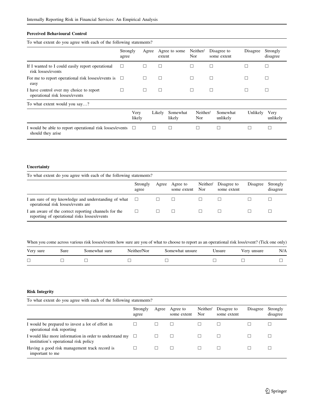#### Perceived Behavioural Control

To what extent do you agree with each of the following statements?

|                                                                               | Strongly<br>agree |                | Agree | extent | Agree to some      | Nor    | Neither/        |        | Disagree to<br>some extent | Disagree |          | Strongly<br>disagree |
|-------------------------------------------------------------------------------|-------------------|----------------|-------|--------|--------------------|--------|-----------------|--------|----------------------------|----------|----------|----------------------|
| If I wanted to I could easily report operational<br>risk losses/events        | П                 |                |       | $\Box$ |                    | П      |                 |        |                            |          |          |                      |
| For me to report operational risk losses/events is<br>easy                    | $\Box$            |                |       | $\Box$ |                    | $\Box$ |                 | $\Box$ |                            | $\Box$   |          |                      |
| I have control over my choice to report<br>operational risk losses/events     |                   |                |       | $\Box$ |                    | П      |                 |        |                            | $\Box$   |          |                      |
| To what extent would you say?                                                 |                   |                |       |        |                    |        |                 |        |                            |          |          |                      |
|                                                                               |                   | Very<br>likely |       | Likely | Somewhat<br>likely |        | Neither/<br>Nor |        | Somewhat<br>unlikely       |          | Unlikely | Very<br>unlikely     |
| I would be able to report operational risk losses/events<br>should they arise |                   | └              | П     |        | П                  |        |                 |        | П                          |          |          |                      |

#### **Uncertainty**

| To what extent do you agree with each of the following statements?                                   |                   |       |                         |                 |                            |          |                      |  |  |  |  |
|------------------------------------------------------------------------------------------------------|-------------------|-------|-------------------------|-----------------|----------------------------|----------|----------------------|--|--|--|--|
|                                                                                                      | Strongly<br>agree | Agree | Agree to<br>some extent | Neither/<br>Nor | Disagree to<br>some extent | Disagree | Strongly<br>disagree |  |  |  |  |
| I am sure of my knowledge and understanding of what<br>operational risk losses/events are            |                   |       |                         |                 |                            |          |                      |  |  |  |  |
| I am aware of the correct reporting channels for the<br>reporting of operational risks losses/events |                   |       |                         |                 |                            |          |                      |  |  |  |  |

When you come across various risk losses/events how sure are you of what to choose to report as an operational risk loss/event? (Tick one only)

| Very sure | Sure | Somewhat sure | Neither/Nor | Somewhat unsure | ∪nsure | Verv<br>unsure | N/A                      |
|-----------|------|---------------|-------------|-----------------|--------|----------------|--------------------------|
|           |      |               |             |                 |        |                | $\overline{\phantom{a}}$ |

#### Risk Integrity

To what extent do you agree with each of the following statements?

|                                                                                                            | Strongly<br>agree | Agree | Agree to<br>some extent | Neither/<br><b>Nor</b> | Disagree to<br>some extent | Disagree | Strongly<br>disagree |
|------------------------------------------------------------------------------------------------------------|-------------------|-------|-------------------------|------------------------|----------------------------|----------|----------------------|
| I would be prepared to invest a lot of effort in<br>operational risk reporting                             |                   |       |                         |                        |                            |          |                      |
| I would like more information in order to understand my $\square$<br>institution's operational risk policy |                   |       |                         |                        |                            |          |                      |
| Having a good risk management track record is<br>important to me                                           |                   |       |                         |                        |                            |          |                      |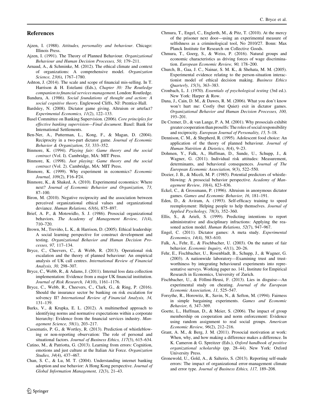#### <span id="page-18-0"></span>References

- Ajzen, I. (1988). Attitudes, personality and behaviour. Chicago: Illinois Press.
- Ajzen, I. (1991). The Theory of Planned Behaviour. Organizational Behaviour and Human Decision Processes, 50, 179–211.
- Arnaud, A., & Schminke, M. (2012). The ethical climate and context of organizations: A comprehensive model. Organization Science, 23(6), 1767–1780.
- Ashton, J. (2014). The scale and scope of financial mis-selling. In T. Harrison & H. Estelami (Eds.), Chapter 30: The Routledge companion to financial services management. London: Routledge.
- Bandura, A. (1986). Social foundations of thought and action: A social cognitive theory. Englewood Cliffs, NJ: Prentice-Hall.
- Bardsley, N. (2008). Dictator game giving. Altruism or artefact? Experimental Economics, 11(2), 122–133.
- Basel Committee on Banking Supervision. (2006). Core principles for effective banking supervision—Final document. Basel: Bank for International Settlements.
- Ben-Ner, A., Putterman, L., Kong, F., & Magan, D. (2004). Reciprocity in a two-part dictator game. Journal of Economic Behavior & Organization, 53, 333–352.
- Binmore, K. (1994). Playing fair: Game theory and the social contract (Vol. I). Cambridge, MA: MIT Press.
- Binmore, K. (1998). Just playing: Game theory and the social contract (Vol. 2). Cambridge, MA: MIT Press.
- Binmore, K. (1999). Why experiment in economics? Economic Journal, 109(2), F16–F24.
- Binmore, K., & Shaked, A. (2010). Experimental economics: Where next? Journal of Economic Behavior and Organization, 73, 87–100.
- Biron, M. (2010). Negative reciprocity and the association between perceived organizational ethical values and organizational deviance. Human Relations, 63(6), 875–897.
- Brief, A. P., & Motowidlo, S. J. (1986). Prosocial organizational behaviors. The Academy of Management Review, 11(4), 710–720.
- Brown, M., Treviño, L. K., & Harrison, D. (2005). Ethical leadership: A social learning perspective for construct development and testing. Organizational Behavior and Human Decision Processes, 97, 117–134.
- Bryce, C., Cheevers, C., & Webb, R. (2013). Operational risk escalation and the theory of planned behaviour: An empirical analysis of UK call centres. International Review of Financial Analysis, 30, 298–307.
- Bryce, C., Webb, R., & Adams, J. (2011). Internal loss data collection implementation: Evidence from a major UK financial institution. Journal of Risk Research, 14(10), 1161–1176.
- Bryce, C., Webb, R., Cheevers, C., Clark, G., & Ring, P. (2016). Should the insurance sector be banking on risk escalation for solvency II? International Review of Financial Analysis, 34, 131–139.
- Burks, V., & Krupka, E. L. (2012). A multimethod approach to identifying norms and normative expectations within a corporate hierarchy: Evidence from the financial services industry. Management Science, 58(1), 203–217.
- Cassematis, P. G., & Wortley, R. (2013). Prediction of whistleblowing or non-reporting observation: The role of personal and situational factors. Journal of Business Ethics, 117(3), 615–634.
- Catino, M., & Patriotta, G. (2013). Learning from errors: Cognition, emotions and just culture at the Italian Air Force. Organization Studies, 34(4), 437–467.
- Chan, S. C., & Lu, M. T. (2004). Understanding internet banking adoption and use behavior: A Hong Kong perspective. Journal of Global Information Management, 12(3), 21–43.
- Chmura, T., Engel, C., Englerth, M., & Pitz, T. (2010). At the mercy of the prisoner next door—using an experimental measure of selfishness as a criminological tool, No 2010/27. Bonn: Max Planck Institute for Research on Collective Goods.
- Chmura, T., Goerg, S., & Weiss, P. (2016). Natural groups and economic characteristics as driving forces of wage discrimination. European Economic Review, 90, 178–200.
- Church, B., Gaa, J. C., Nainar, S. M. K., & Shehata, M. M. (2005). Experimental evidence relating to the person-situation interactionist model of ethical decision making. Business Ethics Quarterly, 15(3), 363–383.
- Cronbach, L. J. (1970). Essentials of psychological testing (3rd ed.). New York: Harper & Row.
- Dana, J., Cain, D. M., & Dawes, R. M. (2006). What you don't know won't hurt me: Costly (but Quiet) exit in dictator games. Organizational Behavior and Human Decision Processes, 100, 193–201.
- De Cremer, D., & van Lange, P. A. M. (2001). Why prosocials exhibit greater cooperation than proselfs: The roles of social responsibility and reciprocity. European Journal of Personality, 15, 5–18.
- Dennison, C. M., & Shepherd, R. (1995). Adolescent food choice: An application of the theory of planned behaviour. Journal of Human Nutrition & Dietetics, 8(4), 9–23.
- Dohmen, Y., Falk, A., Huffman, D., Sunde, U., Schupp, J., & Wagner, G. (2011). Individual risk attitudes: Measurement, determinants, and behavioral consequences. Journal of The European Economic Association, 9(3), 522–550.
- Dozier, J. B., & Miceli, M. P. (1985). Potential predictors of whistleblowing: A prosocial behavior perspective. Academy of Management Review, 10(4), 823–836.
- Eckel, C., & Grossmann, P. (1996). Altruism in anonymous dictator games. Games and Economic Behavior, 16, 181–191.
- Eden, D., & Aviram, A. (1993). Self-efficacy training to speed reemployment: Helping people to help themselves. Journal of Applied Psychology, 78(3), 352–360.
- Ellis, S., & Arieli, S. (1999). Predicting intentions to report administrative and disciplinary infractions: Applying the reasoned action model. Human Relations, 52(7), 947–967.
- Engel, C. (2011). Dictator games: A meta study. Experimental Economics, 14(4), 583–610.
- Falk, A., Fehr, E., & Fischbacher, U. (2003). On the nature of fair behavior. Economic Inquiry, 41(1), 20–26.
- Fehr, E., Fischbacher, U., Rosenbladt, B., Schupp, J., & Wagner, G. (2003). A nationwide laboratory—Examining trust and trustworthiness by integrating behavioural experiments into representative surveys. Working paper no. 141, Institute for Empirical Research in Economics, University of Zurich.
- Fischbacher, U., & Föllmi-Heusi, F. (2013). Lies in disguise—An experimental study on cheating. Journal of the European Economic Association, 11, 525–547.
- Forsythe, R., Horowitz, R., Savin, N., & Sefton, M. (1994). Fairness in simple bargaining experiments. Games and Economic Behavior, 6, 347–369.
- Goette, L., Huffman, D., & Meier, S. (2006). The impact of group membership on cooperation and norm enforcement: Evidence using random assignment to real social groups. American Economic Review, 96(2), 212–216.
- Grant, A. M., & Berg, J. M. (2011). Prosocial motivation at work: When, why, and how making a difference makes a difference. In K. Cameron & G. Spreitzer (Eds.), Oxford handbook of positive organizational scholarship (pp. 28–44). New York: Oxford University Press.
- Gronewold, U., Gold, A., & Salterio, S. (2013). Reporting self-made errors: The impact of organizational error-management climate and error type. Journal of Business Ethics, 117, 189–208.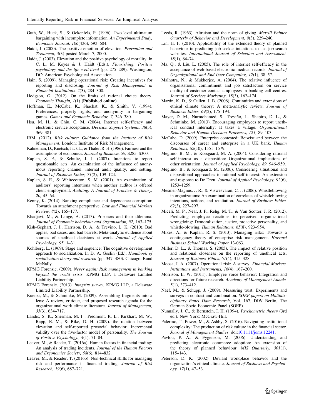- <span id="page-19-0"></span>Guth, W., Huck, S., & Ockenfels, P. (1996). Two-level ultimatum bargaining with incomplete information. An Experimental Study, Economic Journal, 106(436), 593–604.
- Haidt, J. (2000). The positive emotion of elevation. Prevention and Treatment, 3(3) posted March 7, 2000.
- Haidt, J. (2003). Elevation and the positive psychology of morality. In C. L. M. Keyes & J. Haidt (Eds.), Flourishing: Positive psychology and the life well-lived (pp. 275–289). Washington, DC: American Psychological Association.
- Hain, S. (2009). Managing operational risk: Creating incentives for reporting and disclosing. Journal of Risk Management in Financial Institutions, 2(3), 284–300.
- Hodgson, G. (2012). On the limits of rational choice theory. Economic Thought, 1(1) (Published online).
- Hoffman, E., McCabe, K., Shachat, K., & Smith, V. (1994). Preferences, property rights, and anonymity in bargaining games. Games and Economic Behavior, 7, 346–380.
- Hsu, M. H., & Chiu, C. M. (2004). Internet self-efficacy and electronic service acceptance. Decision Support Systems, 38(3), 369–381.
- IRM. (2012). Risk culture: Guidance from the Institute of Risk Management. London: Institute of Risk Management.
- Kahneman, D., Knetsch, Jack L., & Thaler, R. H. (1986). Fairness and the assumptions of economics. Journal of Business, 59, S285–S300.
- Kaplan, S. E., & Schultz, J. J. (2007). Intentions to report questionable acts: An examination of the influence of anonymous reporting channel, internal audit quality, and setting. Journal of Business Ethics, 71(2), 109–124.
- Kaplan, S. E., & Whitecotton, S. M. (2001). An examination of auditors' reporting intentions when another auditor is offered client employment. Auditing: A Journal of Practice & Theory, 20, 45–64.
- Kenny, K. (2014). Banking compliance and dependence corruption: Towards an attachment perspective. Law and Financial Markets Review, 8(2), 165–177.
- Khadjavi, M., & Lange, A. (2013). Prisoners and their dilemma. Journal of Economic behaviour and Organisation, 92, 163–175.
- Kish-Gephart, J. J., Harrison, D. A., & Trevino, L. K. (2010). Bad apples, bad cases, and bad barrels: Meta-analytic evidence about sources of unethical decisions at work. Journal of Applied Psychology, 95, 1–31.
- Kohlberg, L. (1969). Stage and sequence: The cognitive development approach to socialization. In D. A. Goslin (Ed.), Handbook of socialization theory and research (pp. 347–480). Chicago: Rand McNally.
- KPMG Forensic. (2009). Never again: Risk management in banking beyond the credit crisis. KPMG LLP, a Delaware Limited Liability Partnership.
- KPMG Forensic. (2013). Integrity survey. KPMG LLP, a Delaware Limited Liability Partnership.
- Kuenzi, M., & Schminke, M. (2009). Assembling fragments into a lens: A review, critique, and proposed research agenda for the organizational work climate literature. Journal of Management, 35(3), 634–717.
- Landis, S. K., Sherman, M. F., Piedmont, R. L., Kirkhart, M. W., Rapp, E. M., & Bike, D. H. (2009). the relation between elevation and self-reported prosocial behavior: Incremental validity over the five-factor model of personality. The Journal of Positive Psychology., 4(1), 71–84.
- Leaver, M., & Reader, T. (2016a). Human factors in financial trading: An analysis of trading incidents. Journal of the Human Factors and Ergonomics Society, 58(6), 814–832.
- Leaver, M., & Reader, T. (2016b). Non-technical skills for managing risk and performance in financial trading. Journal of Risk Research, 19(6), 687–721.
- Leeds, R. (1963). Altruism and the norm of giving. Merrill Palmer Quarterly of Behavior and Development, 9(3), 229–240.
- Lin, H. F. (2010). Applicability of the extended theory of planned behaviour in predicting job seeker intentions to use job-search websites. International Journal of Selection and Assessment, 18(1), 64–74.
- Ma, Q., & Liu, L. (2005). The role of internet self-efficacy in the acceptance of web-based electronic medical records. Journal of Organizational and End User Computing, 17(1), 38–57.
- Malhotra, N., & Mukherjee, A. (2004). The relative influence of organisational commitment and job satisfaction on service quality of customer-contact employees in banking call centres. Journal of Services Marketing, 18(3), 162–174.
- Martin, K. D., & Cullen, J. B. (2006). Continuities and extensions of ethical climate theory: A meta-analytic review. Journal of Business Ethics, 69(2), 175–194.
- Mayer, D. M., Nurmohamed, S., Treviño, L., Shapiro, D. L., & Schminke, M. (2013). Encouraging employees to report unethical conduct internally: It takes a village. Organizational Behavior and Human Decision Processes, 121, 89–103.
- McCabe, D. (2009). Enterprise contested: Betwixt and between the discourses of career and enterprise in a UK bank. Human Relations, 62(10), 1551–1579.
- Meglino, B. M., & Korsgaard, M. A. (2004). Considering rational self-interest as a disposition: Organizational implications of other orientation. Journal of Applied Psychology, 89, 946–959.
- Meglino, B., & Korsgaard, M. (2006). Considering situational and dispositional approaches to rational self-interest: An extension and response to De Dreu. Journal of Applied Psychology, 92(6), 1253–1259.
- Mesmer-Magnus, J. R., & Viswesvaran, C. J. (2006). Whistleblowing in organizations: An examination of correlates of whistleblowing intentions, actions, and retaliation. Journal of Business Ethics, 62(3), 227–297.
- Miceli, M. P., Near, J. P., Rehg, M. T., & Van Scotter, J. R. (2012). Predicting employee reactions to perceived organizational wrongdoing: Demoralization, justice, proactive personality, and whistle-blowing. Human Relations, 65(8), 923–954.
- Mikes, A., & Kaplan, R. S. (2013). Managing risks: Towards a contingency theory of enterprise risk management. Harvard Business School Working Paper 13-063.
- Miller, D. L., & Thomas, S. (2005). The impact of relative position and relational closeness on the reporting of unethical acts. Journal of Business Ethics, 61(4), 315–328.
- Moosa, I. A. (2007). Operational risk: A survey. Financial Markets, Institutions and Instruments, 16(4), 167–200.
- Morrison, E. W. (2011). Employee voice behavior: Integration and directions for future research. Academy of Management Annals, 5(1), 373–412.
- Naef, M., & Schupp, J. (2009). Measuring trust: Experiments and surveys in contrast and combination. SOEP papers on Multidisciplinary Panel Data Research, Vol. 167, DIW Berlin, The German Socio-Economic Panel (SOEP).
- Nunnally, J. C., & Bernstein, I. H. (1994). Psychometric theory (3rd ed.). New York: McGraw-Hill.
- Palermo, T., Power, M., & Ashby, S. (2016). Navigating institutional complexity: The production of risk culture in the financial sector. Journal of Management Studies. doi:[10.1111/joms.12241](http://dx.doi.org/10.1111/joms.12241).
- Pavlou, P. A., & Fygenson, M. (2006). Understanding and predicting electronic commerce adoption: An extension of the theory of planned behaviour. MIS Quarterly, 301(1), 115–143.
- Peterson, D. K. (2002). Deviant workplace behavior and the organization's ethical climate. Journal of Business and Psychol $ogy, 17(1), 47-53.$